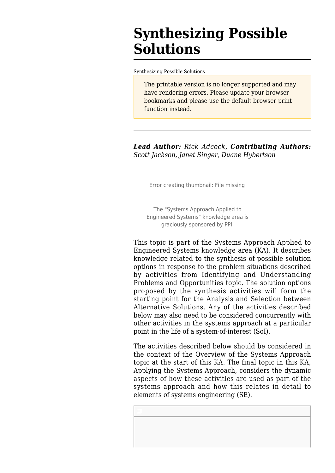# **Synthesizing Possible Solutions**

[Synthesizing Possible Solutions](http://sandbox.sebokwiki.org/Synthesizing_Possible_Solutions)

The printable version is no longer supported and may have rendering errors. Please update your browser bookmarks and please use the default browser print function instead.

*Lead Author: Rick Adcock*, *Contributing Authors: Scott Jackson, Janet Singer, Duane Hybertson*

Error creating thumbnail: File missing

The "Systems Approach Applied to Engineered Systems" knowledge area is graciously sponsored by PPI.

This topic is part of the [Systems Approach Applied to](http://sandbox.sebokwiki.org/Systems_Approach_Applied_to_Engineered_Systems) [Engineered Systems](http://sandbox.sebokwiki.org/Systems_Approach_Applied_to_Engineered_Systems) knowledge area (KA). It describes knowledge related to the synthesis of possible solution options in response to the problem situations described by activities from [Identifying and Understanding](http://sandbox.sebokwiki.org/Identifying_and_Understanding_Problems_and_Opportunities) [Problems and Opportunities](http://sandbox.sebokwiki.org/Identifying_and_Understanding_Problems_and_Opportunities) topic. The solution options proposed by the synthesis activities will form the starting point for the [Analysis and Selection between](http://sandbox.sebokwiki.org/Analysis_and_Selection_between_Alternative_Solutions) [Alternative Solutions.](http://sandbox.sebokwiki.org/Analysis_and_Selection_between_Alternative_Solutions) Any of the activities described below may also need to be considered concurrently with other activities in the systems approach at a particular point in the life of a system-of-interest (SoI).

The activities described below should be considered in the context of the [Overview of the Systems Approach](http://sandbox.sebokwiki.org/Overview_of_the_Systems_Approach) topic at the start of this KA. The final topic in this KA, [Applying the Systems Approach,](http://sandbox.sebokwiki.org/Applying_the_Systems_Approach) considers the dynamic aspects of how these activities are used as part of the systems approach and how this relates in detail to elements of systems engineering (SE).

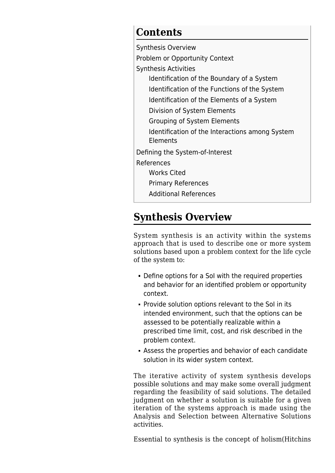## **Contents**

[Synthesis Overview](#page--1-0) [Problem or Opportunity Context](#page--1-0) [Synthesis Activities](#page--1-0) [Identification of the Boundary of a System](#page--1-0) [Identification of the Functions of the System](#page--1-0) [Identification of the Elements of a System](#page--1-0) [Division of System Elements](#page--1-0) [Grouping of System Elements](#page--1-0) [Identification of the Interactions among System](#page--1-0) **[Elements](#page--1-0)** [Defining the System-of-Interest](#page--1-0) [References](#page--1-0) [Works Cited](#page--1-0) [Primary References](#page--1-0) [Additional References](#page--1-0)

## **Synthesis Overview**

System synthesis is an activity within the systems approach that is used to describe one or more system solutions based upon a problem context for the life cycle of the system to:

- Define options for a SoI with the required properties and behavior for an identified problem or opportunity context.
- Provide solution options relevant to the SoI in its intended environment, such that the options can be assessed to be potentially realizable within a prescribed time limit, cost, and risk described in the problem context.
- Assess the properties and behavior of each candidate solution in its wider system context.

The iterative activity of system synthesis develops possible solutions and may make some overall judgment regarding the feasibility of said solutions. The detailed judgment on whether a solution is suitable for a given iteration of the systems approach is made using the [Analysis and Selection between Alternative Solutions](http://sandbox.sebokwiki.org/Analysis_and_Selection_between_Alternative_Solutions) activities.

Essential to synthesis is the concept of holism(Hitchins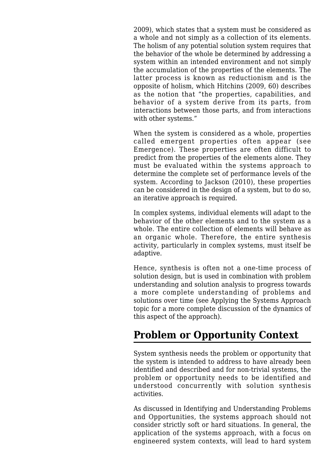2009), which states that a system must be considered as a whole and not simply as a collection of its elements. The holism of any potential solution system requires that the behavior of the whole be determined by addressing a system within an intended environment and not simply the accumulation of the properties of the elements. The latter process is known as reductionism and is the opposite of holism, which Hitchins (2009, 60) describes as the notion that "the properties, capabilities, and behavior of a system derive from its parts, from interactions between those parts, and from interactions with other systems."

When the system is considered as a whole, properties called emergent properties often appear (see [Emergence](http://sandbox.sebokwiki.org/Emergence)). These properties are often difficult to predict from the properties of the elements alone. They must be evaluated within the systems approach to determine the complete set of performance levels of the system. According to Jackson (2010), these properties can be considered in the design of a system, but to do so, an iterative approach is required.

In complex systems, individual elements will adapt to the behavior of the other elements and to the system as a whole. The entire collection of elements will behave as an organic whole. Therefore, the entire synthesis activity, particularly in complex systems, must itself be adaptive.

Hence, synthesis is often not a one-time process of solution design, but is used in combination with problem understanding and solution analysis to progress towards a more complete understanding of problems and solutions over time (see [Applying the Systems Approach](http://sandbox.sebokwiki.org/Applying_the_Systems_Approach) topic for a more complete discussion of the dynamics of this aspect of the approach).

## **Problem or Opportunity Context**

System synthesis needs the problem or opportunity that the system is intended to address to have already been identified and described and for non-trivial systems, the problem or opportunity needs to be identified and understood concurrently with solution synthesis activities.

As discussed in [Identifying and Understanding Problems](http://sandbox.sebokwiki.org/Identifying_and_Understanding_Problems_and_Opportunities) [and Opportunities](http://sandbox.sebokwiki.org/Identifying_and_Understanding_Problems_and_Opportunities), the systems approach should not consider strictly soft or hard situations. In general, the application of the systems approach, with a focus on engineered system contexts, will lead to hard system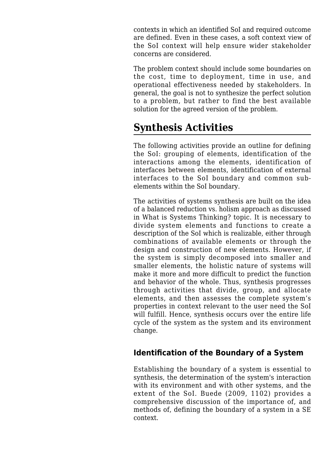contexts in which an identified SoI and required outcome are defined. Even in these cases, a soft context view of the SoI context will help ensure wider stakeholder concerns are considered.

The problem context should include some boundaries on the cost, time to deployment, time in use, and operational effectiveness needed by stakeholders. In general, the goal is not to synthesize the perfect solution to a problem, but rather to find the best available solution for the agreed version of the problem.

## **Synthesis Activities**

The following activities provide an outline for defining the SoI: grouping of elements, identification of the interactions among the elements, identification of interfaces between elements, identification of external interfaces to the SoI boundary and common subelements within the SoI boundary.

The activities of systems synthesis are built on the idea of a balanced reduction vs. holism approach as discussed in [What is Systems Thinking?](http://sandbox.sebokwiki.org/What_is_Systems_Thinking%3F) topic. It is necessary to divide system elements and functions to create a description of the SoI which is realizable, either through combinations of available elements or through the design and construction of new elements. However, if the system is simply decomposed into smaller and smaller elements, the holistic nature of systems will make it more and more difficult to predict the function and behavior of the whole. Thus, synthesis progresses through activities that divide, group, and allocate elements, and then assesses the complete system's properties in context relevant to the user need the SoI will fulfill. Hence, synthesis occurs over the entire life cycle of the system as the system and its environment change.

#### **Identification of the Boundary of a System**

Establishing the boundary of a system is essential to synthesis, the determination of the system's interaction with its environment and with other systems, and the extent of the SoI. Buede (2009, 1102) provides a comprehensive discussion of the importance of, and methods of, defining the boundary of a system in a SE context.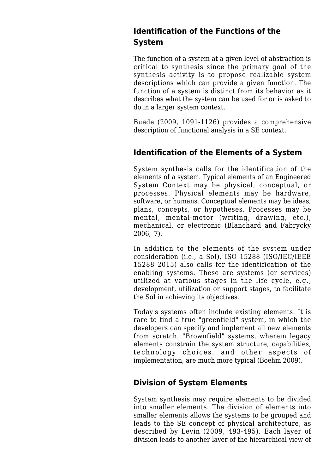#### **Identification of the Functions of the System**

The function of a system at a given level of abstraction is critical to synthesis since the primary goal of the synthesis activity is to propose realizable system descriptions which can provide a given function. The function of a system is distinct from its behavior as it describes what the system can be used for or is asked to do in a larger system context.

Buede (2009, 1091-1126) provides a comprehensive description of functional analysis in a SE context.

#### **Identification of the Elements of a System**

System synthesis calls for the identification of the elements of a system. Typical elements of an [Engineered](http://sandbox.sebokwiki.org/Engineered_System_Context) [System Context](http://sandbox.sebokwiki.org/Engineered_System_Context) may be physical, conceptual, or processes. Physical elements may be hardware, software, or humans. Conceptual elements may be ideas, plans, concepts, or hypotheses. Processes may be mental, mental-motor (writing, drawing, etc.), mechanical, or electronic (Blanchard and Fabrycky 2006, 7).

In addition to the elements of the system under consideration (i.e., a SoI), ISO 15288 (ISO/IEC/IEEE 15288 2015) also calls for the identification of the enabling systems. These are systems (or services) utilized at various stages in the life cycle, e.g., development, utilization or support stages, to facilitate the SoI in achieving its objectives.

Today's systems often include existing elements. It is rare to find a true "greenfield" system, in which the developers can specify and implement all new elements from scratch. "Brownfield" systems, wherein legacy elements constrain the system structure, capabilities, technology choices, and other aspects of implementation, are much more typical (Boehm 2009).

#### **Division of System Elements**

System synthesis may require elements to be divided into smaller elements. The division of elements into smaller elements allows the systems to be grouped and leads to the SE concept of physical architecture, as described by Levin (2009, 493-495). Each layer of division leads to another layer of the hierarchical view of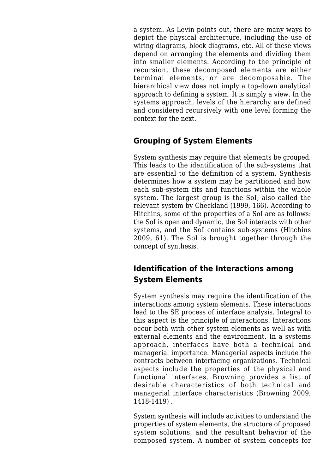a system. As Levin points out, there are many ways to depict the physical architecture, including the use of wiring diagrams, block diagrams, etc. All of these views depend on arranging the elements and dividing them into smaller elements. According to the principle of recursion, these decomposed elements are either terminal elements, or are decomposable. The hierarchical view does not imply a top-down analytical approach to defining a system. It is simply a view. In the systems approach, levels of the hierarchy are defined and considered recursively with one level forming the context for the next.

#### **Grouping of System Elements**

System synthesis may require that elements be grouped. This leads to the identification of the sub-systems that are essential to the definition of a system. Synthesis determines how a system may be partitioned and how each sub-system fits and functions within the whole system. The largest group is the SoI, also called the relevant system by Checkland (1999, 166). According to Hitchins, some of the properties of a SoI are as follows: the SoI is open and dynamic, the SoI interacts with other systems, and the SoI contains sub-systems (Hitchins 2009, 61). The SoI is brought together through the concept of synthesis.

#### **Identification of the Interactions among System Elements**

System synthesis may require the identification of the interactions among system elements. These interactions lead to the SE process of interface analysis. Integral to this aspect is the principle of interactions. Interactions occur both with other system elements as well as with external elements and the environment. In a systems approach, interfaces have both a technical and managerial importance. Managerial aspects include the contracts between interfacing organizations. Technical aspects include the properties of the physical and functional interfaces. Browning provides a list of desirable characteristics of both technical and managerial interface characteristics (Browning 2009, 1418-1419) .

System synthesis will include activities to understand the properties of system elements, the structure of proposed system solutions, and the resultant behavior of the composed system. A number of system concepts for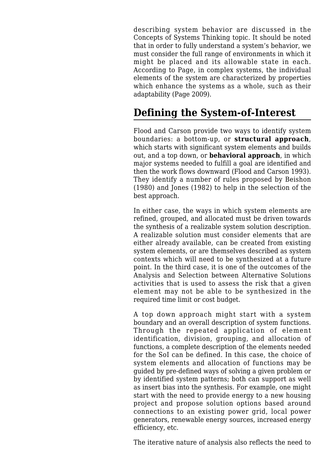describing system behavior are discussed in the [Concepts of Systems Thinking](http://sandbox.sebokwiki.org/Concepts_of_Systems_Thinking) topic. It should be noted that in order to fully understand a system's behavior, we must consider the full range of environments in which it might be placed and its allowable state in each. According to Page, in complex systems, the individual elements of the system are characterized by properties which enhance the systems as a whole, such as their adaptability (Page 2009).

## **Defining the System-of-Interest**

Flood and Carson provide two ways to identify system boundaries: a bottom-up, or **structural approach**, which starts with significant system elements and builds out, and a top down, or **behavioral approach**, in which major systems needed to fulfill a goal are identified and then the work flows downward (Flood and Carson 1993). They identify a number of rules proposed by Beishon (1980) and Jones (1982) to help in the selection of the best approach.

In either case, the ways in which system elements are refined, grouped, and allocated must be driven towards the synthesis of a realizable system solution description. A realizable solution must consider elements that are either already available, can be created from existing system elements, or are themselves described as system contexts which will need to be synthesized at a future point. In the third case, it is one of the outcomes of the [Analysis and Selection between Alternative Solutions](http://sandbox.sebokwiki.org/Analysis_and_Selection_between_Alternative_Solutions) activities that is used to assess the risk that a given element may not be able to be synthesized in the required time limit or cost budget.

A top down approach might start with a system boundary and an overall description of system functions. Through the repeated application of element identification, division, grouping, and allocation of functions, a complete description of the elements needed for the SoI can be defined. In this case, the choice of system elements and allocation of functions may be guided by pre-defined ways of solving a given problem or by identified system patterns; both can support as well as insert bias into the synthesis. For example, one might start with the need to provide energy to a new housing project and propose solution options based around connections to an existing power grid, local power generators, renewable energy sources, increased energy efficiency, etc.

The iterative nature of analysis also reflects the need to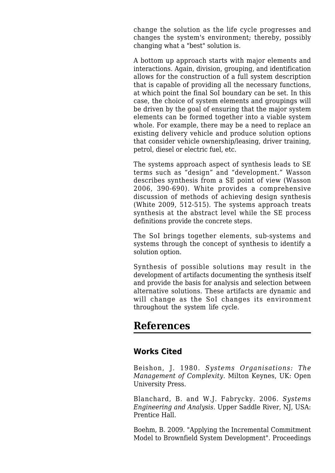change the solution as the life cycle progresses and changes the system's environment; thereby, possibly changing what a "best" solution is.

A bottom up approach starts with major elements and interactions. Again, division, grouping, and identification allows for the construction of a full system description that is capable of providing all the necessary functions, at which point the final SoI boundary can be set. In this case, the choice of system elements and groupings will be driven by the goal of ensuring that the major system elements can be formed together into a viable system whole. For example, there may be a need to replace an existing delivery vehicle and produce solution options that consider vehicle ownership/leasing, driver training, petrol, diesel or electric fuel, etc.

The systems approach aspect of synthesis leads to SE terms such as "design" and "development." Wasson describes synthesis from a SE point of view (Wasson 2006, 390-690). White provides a comprehensive discussion of methods of achieving design synthesis (White 2009, 512-515). The systems approach treats synthesis at the abstract level while the SE process definitions provide the concrete steps.

The SoI brings together elements, sub-systems and systems through the concept of synthesis to identify a solution option.

Synthesis of possible solutions may result in the development of artifacts documenting the synthesis itself and provide the basis for analysis and selection between alternative solutions. These artifacts are dynamic and will change as the SoI changes its environment throughout the system life cycle.

### **References**

#### **Works Cited**

Beishon, J. 1980. *Systems Organisations: The Management of Complexity*. Milton Keynes, UK: Open University Press.

Blanchard, B. and W.J. Fabrycky. 2006. *Systems Engineering and Analysis*. Upper Saddle River, NJ, USA: Prentice Hall.

Boehm, B. 2009. "Applying the Incremental Commitment Model to Brownfield System Development". Proceedings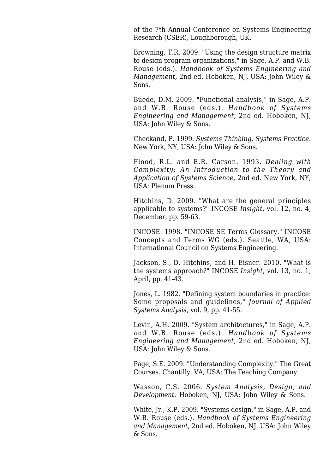of the 7th Annual Conference on Systems Engineering Research (CSER), Loughborough, UK.

Browning, T.R. 2009. "Using the design structure matrix to design program organizations," in Sage, A.P. and W.B. Rouse (eds.). *Handbook of Systems Engineering and Management,* 2nd ed. Hoboken, NJ, USA: John Wiley & Sons.

Buede, D.M. 2009. "Functional analysis," in Sage, A.P. and W.B. Rouse (eds.). *Handbook of Systems Engineering and Management,* 2nd ed. Hoboken, NJ, USA: John Wiley & Sons.

Checkand, P. 1999. *Systems Thinking, Systems Practice*. New York, NY, USA: John Wiley & Sons.

Flood, R.L. and E.R. Carson. 1993. *Dealing with Complexity: An Introduction to the Theory and Application of Systems Science*, 2nd ed. New York, NY, USA: Plenum Press.

Hitchins, D. 2009. "What are the general principles applicable to systems?" INCOSE *Insight*, vol. 12, no. 4, December, pp. 59-63.

INCOSE. 1998. "INCOSE SE Terms Glossary." INCOSE Concepts and Terms WG (eds.). Seattle, WA, USA: International Council on Systems Engineering.

Jackson, S., D. Hitchins, and H. Eisner. 2010. "What is the systems approach?" INCOSE *Insight*, vol. 13, no. 1, April, pp. 41-43.

Jones, L. 1982. "Defining system boundaries in practice: Some proposals and guidelines," *Journal of Applied Systems Analysis*, vol. 9, pp. 41-55.

Levin, A.H. 2009. "System architectures," in Sage, A.P. and W.B. Rouse (eds.). *Handbook of Systems Engineering and Management*, 2nd ed. Hoboken, NJ, USA: John Wiley & Sons.

Page, S.E. 2009. "Understanding Complexity." The Great Courses. Chantilly, VA, USA: The Teaching Company.

Wasson, C.S. 2006. *System Analysis, Design, and Development*. Hoboken, NJ, USA: John Wiley & Sons.

White, Ir., K.P. 2009. "Systems design." in Sage, A.P. and W.B. Rouse (eds.). *Handbook of Systems Engineering and Management*, 2nd ed. Hoboken, NJ, USA: John Wiley & Sons.